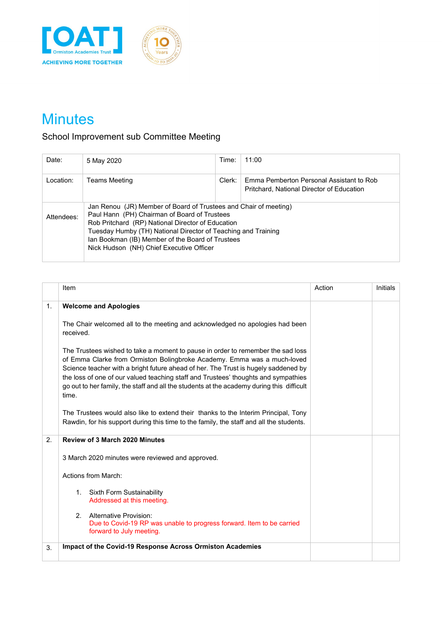



# **Minutes**

# School Improvement sub Committee Meeting

| Date:      | 5 May 2020                                                                                                                                                                                                                                                                                                                             | Time:  | 11:00                                                                                 |  |
|------------|----------------------------------------------------------------------------------------------------------------------------------------------------------------------------------------------------------------------------------------------------------------------------------------------------------------------------------------|--------|---------------------------------------------------------------------------------------|--|
| Location:  | Teams Meeting                                                                                                                                                                                                                                                                                                                          | Clerk: | Emma Pemberton Personal Assistant to Rob<br>Pritchard, National Director of Education |  |
| Attendees: | Jan Renou (JR) Member of Board of Trustees and Chair of meeting)<br>Paul Hann (PH) Chairman of Board of Trustees<br>Rob Pritchard (RP) National Director of Education<br>Tuesday Humby (TH) National Director of Teaching and Training<br>Ian Bookman (IB) Member of the Board of Trustees<br>Nick Hudson (NH) Chief Executive Officer |        |                                                                                       |  |

|    | Item                                                                                                                                                                                                                                                                                                                                                                                                                                         | Action | Initials |
|----|----------------------------------------------------------------------------------------------------------------------------------------------------------------------------------------------------------------------------------------------------------------------------------------------------------------------------------------------------------------------------------------------------------------------------------------------|--------|----------|
| 1. | <b>Welcome and Apologies</b>                                                                                                                                                                                                                                                                                                                                                                                                                 |        |          |
|    | The Chair welcomed all to the meeting and acknowledged no apologies had been<br>received.                                                                                                                                                                                                                                                                                                                                                    |        |          |
|    | The Trustees wished to take a moment to pause in order to remember the sad loss<br>of Emma Clarke from Ormiston Bolingbroke Academy. Emma was a much-loved<br>Science teacher with a bright future ahead of her. The Trust is hugely saddened by<br>the loss of one of our valued teaching staff and Trustees' thoughts and sympathies<br>go out to her family, the staff and all the students at the academy during this difficult<br>time. |        |          |
|    | The Trustees would also like to extend their thanks to the Interim Principal, Tony<br>Rawdin, for his support during this time to the family, the staff and all the students.                                                                                                                                                                                                                                                                |        |          |
| 2. | <b>Review of 3 March 2020 Minutes</b>                                                                                                                                                                                                                                                                                                                                                                                                        |        |          |
|    | 3 March 2020 minutes were reviewed and approved.                                                                                                                                                                                                                                                                                                                                                                                             |        |          |
|    | Actions from March:                                                                                                                                                                                                                                                                                                                                                                                                                          |        |          |
|    | 1. Sixth Form Sustainability<br>Addressed at this meeting.                                                                                                                                                                                                                                                                                                                                                                                   |        |          |
|    | $2^{\circ}$<br>Alternative Provision:<br>Due to Covid-19 RP was unable to progress forward. Item to be carried<br>forward to July meeting.                                                                                                                                                                                                                                                                                                   |        |          |
| 3. | Impact of the Covid-19 Response Across Ormiston Academies                                                                                                                                                                                                                                                                                                                                                                                    |        |          |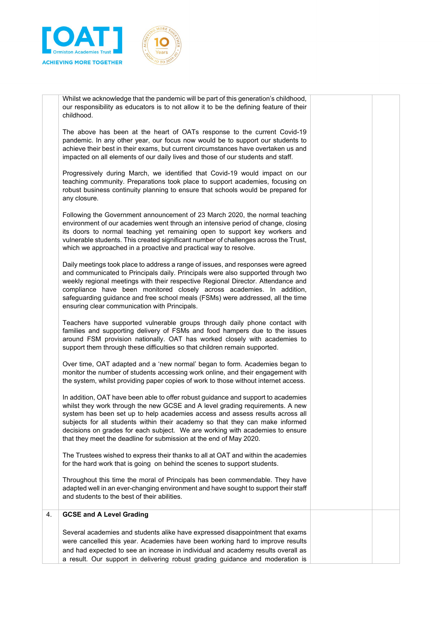



Whilst we acknowledge that the pandemic will be part of this generation's childhood, our responsibility as educators is to not allow it to be the defining feature of their childhood.

The above has been at the heart of OATs response to the current Covid-19 pandemic. In any other year, our focus now would be to support our students to achieve their best in their exams, but current circumstances have overtaken us and impacted on all elements of our daily lives and those of our students and staff.

Progressively during March, we identified that Covid-19 would impact on our teaching community. Preparations took place to support academies, focusing on robust business continuity planning to ensure that schools would be prepared for any closure.

Following the Government announcement of 23 March 2020, the normal teaching environment of our academies went through an intensive period of change, closing its doors to normal teaching yet remaining open to support key workers and vulnerable students. This created significant number of challenges across the Trust, which we approached in a proactive and practical way to resolve.

Daily meetings took place to address a range of issues, and responses were agreed and communicated to Principals daily. Principals were also supported through two weekly regional meetings with their respective Regional Director. Attendance and compliance have been monitored closely across academies. In addition, safeguarding guidance and free school meals (FSMs) were addressed, all the time ensuring clear communication with Principals.

Teachers have supported vulnerable groups through daily phone contact with families and supporting delivery of FSMs and food hampers due to the issues around FSM provision nationally. OAT has worked closely with academies to support them through these difficulties so that children remain supported.

Over time, OAT adapted and a 'new normal' began to form. Academies began to monitor the number of students accessing work online, and their engagement with the system, whilst providing paper copies of work to those without internet access.

In addition, OAT have been able to offer robust guidance and support to academies whilst they work through the new GCSE and A level grading requirements. A new system has been set up to help academies access and assess results across all subjects for all students within their academy so that they can make informed decisions on grades for each subject. We are working with academies to ensure that they meet the deadline for submission at the end of May 2020.

The Trustees wished to express their thanks to all at OAT and within the academies for the hard work that is going on behind the scenes to support students.

Throughout this time the moral of Principals has been commendable. They have adapted well in an ever-changing environment and have sought to support their staff and students to the best of their abilities.

# 4. **GCSE and A Level Grading**

Several academies and students alike have expressed disappointment that exams were cancelled this year. Academies have been working hard to improve results and had expected to see an increase in individual and academy results overall as a result. Our support in delivering robust grading guidance and moderation is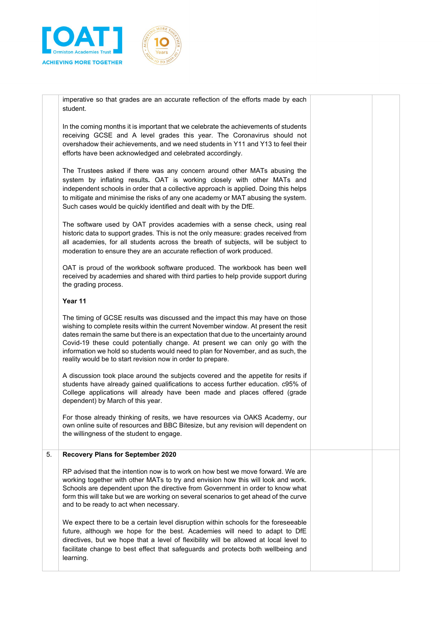



imperative so that grades are an accurate reflection of the efforts made by each student.

In the coming months it is important that we celebrate the achievements of students receiving GCSE and A level grades this year. The Coronavirus should not overshadow their achievements, and we need students in Y11 and Y13 to feel their efforts have been acknowledged and celebrated accordingly.

The Trustees asked if there was any concern around other MATs abusing the system by inflating results**.** OAT is working closely with other MATs and independent schools in order that a collective approach is applied. Doing this helps to mitigate and minimise the risks of any one academy or MAT abusing the system. Such cases would be quickly identified and dealt with by the DfE.

The software used by OAT provides academies with a sense check, using real historic data to support grades. This is not the only measure: grades received from all academies, for all students across the breath of subjects, will be subject to moderation to ensure they are an accurate reflection of work produced.

OAT is proud of the workbook software produced. The workbook has been well received by academies and shared with third parties to help provide support during the grading process.

# **Year 11**

The timing of GCSE results was discussed and the impact this may have on those wishing to complete resits within the current November window. At present the resit dates remain the same but there is an expectation that due to the uncertainty around Covid-19 these could potentially change. At present we can only go with the information we hold so students would need to plan for November, and as such, the reality would be to start revision now in order to prepare.

A discussion took place around the subjects covered and the appetite for resits if students have already gained qualifications to access further education. c95% of College applications will already have been made and places offered (grade dependent) by March of this year.

For those already thinking of resits, we have resources via OAKS Academy, our own online suite of resources and BBC Bitesize, but any revision will dependent on the willingness of the student to engage.

# 5. **Recovery Plans for September 2020**

RP advised that the intention now is to work on how best we move forward. We are working together with other MATs to try and envision how this will look and work. Schools are dependent upon the directive from Government in order to know what form this will take but we are working on several scenarios to get ahead of the curve and to be ready to act when necessary.

We expect there to be a certain level disruption within schools for the foreseeable future, although we hope for the best. Academies will need to adapt to DfE directives, but we hope that a level of flexibility will be allowed at local level to facilitate change to best effect that safeguards and protects both wellbeing and learning.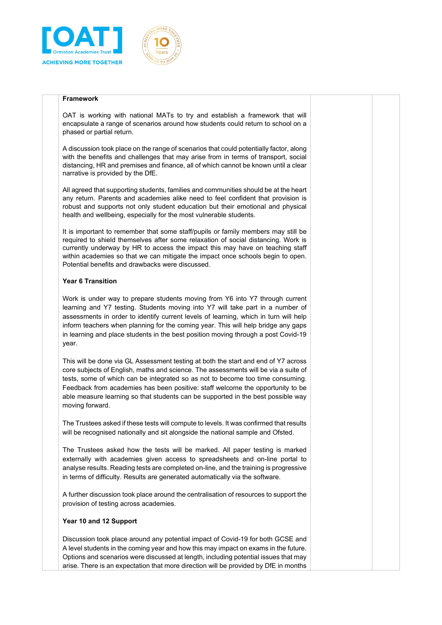



#### **Framework**

OAT is working with national MATs to try and establish a framework that will encapsulate a range of scenarios around how students could return to school on a phased or partial return.

A discussion took place on the range of scenarios that could potentially factor, along with the benefits and challenges that may arise from in terms of transport, social distancing, HR and premises and finance, all of which cannot be known until a clear narrative is provided by the DfE.

All agreed that supporting students, families and communities should be at the heart any return. Parents and academies alike need to feel confident that provision is robust and supports not only student education but their emotional and physical health and wellbeing, especially for the most vulnerable students.

It is important to remember that some staff/pupils or family members may still be required to shield themselves after some relaxation of social distancing. Work is currently underway by HR to access the impact this may have on teaching staff within academies so that we can mitigate the impact once schools begin to open. Potential benefits and drawbacks were discussed.

# **Year 6 Transition**

Work is under way to prepare students moving from Y6 into Y7 through current learning and Y7 testing. Students moving into Y7 will take part in a number of assessments in order to identify current levels of learning, which in turn will help inform teachers when planning for the coming year. This will help bridge any gaps in learning and place students in the best position moving through a post Covid-19 year.

This will be done via GL Assessment testing at both the start and end of Y7 across core subjects of English, maths and science. The assessments will be via a suite of tests, some of which can be integrated so as not to become too time consuming. Feedback from academies has been positive: staff welcome the opportunity to be able measure learning so that students can be supported in the best possible way moving forward.

The Trustees asked if these tests will compute to levels. It was confirmed that results will be recognised nationally and sit alongside the national sample and Ofsted.

The Trustees asked how the tests will be marked. All paper testing is marked externally with academies given access to spreadsheets and on-line portal to analyse results. Reading tests are completed on-line, and the training is progressive in terms of difficulty. Results are generated automatically via the software.

A further discussion took place around the centralisation of resources to support the provision of testing across academies.

#### **Year 10 and 12 Support**

Discussion took place around any potential impact of Covid-19 for both GCSE and A level students in the coming year and how this may impact on exams in the future. Options and scenarios were discussed at length, including potential issues that may arise. There is an expectation that more direction will be provided by DfE in months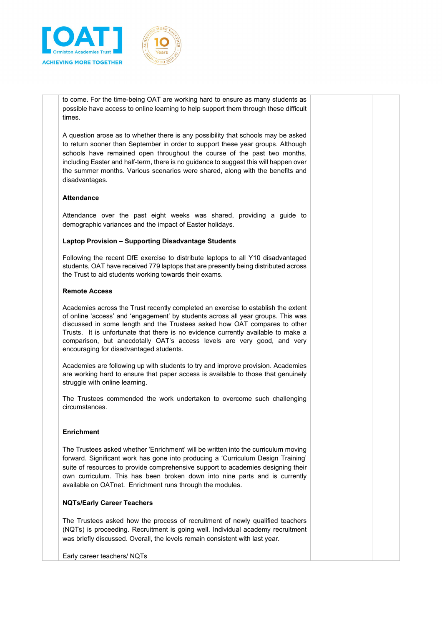



to come. For the time-being OAT are working hard to ensure as many students as possible have access to online learning to help support them through these difficult times.

A question arose as to whether there is any possibility that schools may be asked to return sooner than September in order to support these year groups. Although schools have remained open throughout the course of the past two months, including Easter and half-term, there is no guidance to suggest this will happen over the summer months. Various scenarios were shared, along with the benefits and disadvantages.

# **Attendance**

Attendance over the past eight weeks was shared, providing a guide to demographic variances and the impact of Easter holidays.

#### **Laptop Provision – Supporting Disadvantage Students**

Following the recent DfE exercise to distribute laptops to all Y10 disadvantaged students, OAT have received 779 laptops that are presently being distributed across the Trust to aid students working towards their exams.

#### **Remote Access**

Academies across the Trust recently completed an exercise to establish the extent of online 'access' and 'engagement' by students across all year groups. This was discussed in some length and the Trustees asked how OAT compares to other Trusts. It is unfortunate that there is no evidence currently available to make a comparison, but anecdotally OAT's access levels are very good, and very encouraging for disadvantaged students.

Academies are following up with students to try and improve provision. Academies are working hard to ensure that paper access is available to those that genuinely struggle with online learning.

The Trustees commended the work undertaken to overcome such challenging circumstances.

#### **Enrichment**

The Trustees asked whether 'Enrichment' will be written into the curriculum moving forward. Significant work has gone into producing a 'Curriculum Design Training' suite of resources to provide comprehensive support to academies designing their own curriculum. This has been broken down into nine parts and is currently available on OATnet. Enrichment runs through the modules.

#### **NQTs/Early Career Teachers**

The Trustees asked how the process of recruitment of newly qualified teachers (NQTs) is proceeding. Recruitment is going well. Individual academy recruitment was briefly discussed. Overall, the levels remain consistent with last year.

Early career teachers/ NQTs